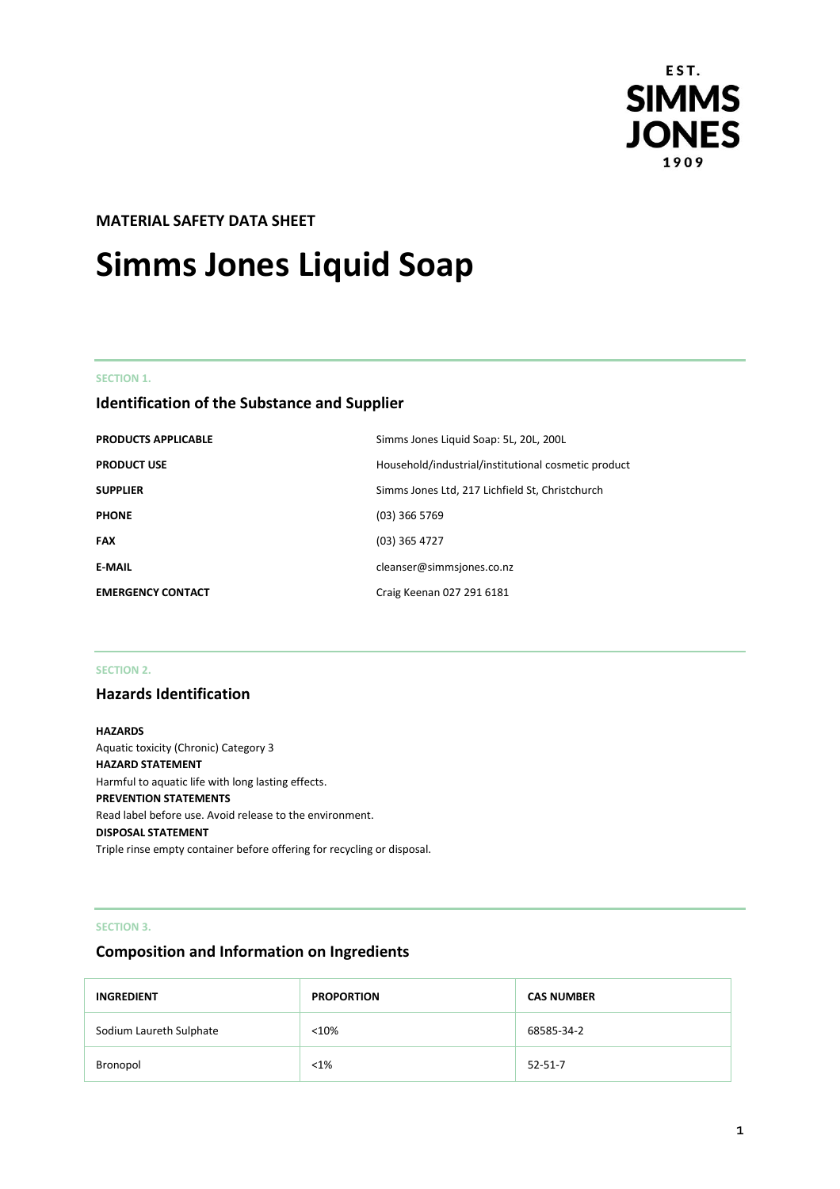

# **MATERIAL SAFETY DATA SHEET**

# **Simms Jones Liquid Soap**

## **SECTION 1.**

# **Identification of the Substance and Supplier**

| <b>PRODUCTS APPLICABLE</b> | Simms Jones Liquid Soap: 5L, 20L, 200L              |
|----------------------------|-----------------------------------------------------|
| <b>PRODUCT USE</b>         | Household/industrial/institutional cosmetic product |
| <b>SUPPLIER</b>            | Simms Jones Ltd, 217 Lichfield St, Christchurch     |
| <b>PHONE</b>               | $(03)$ 366 5769                                     |
| <b>FAX</b>                 | $(03)$ 365 4727                                     |
| <b>E-MAIL</b>              | cleanser@simmsjones.co.nz                           |
| <b>EMERGENCY CONTACT</b>   | Craig Keenan 027 291 6181                           |

## **SECTION 2.**

# **Hazards Identification**

# **HAZARDS** Aquatic toxicity (Chronic) Category 3 **HAZARD STATEMENT** Harmful to aquatic life with long lasting effects. **PREVENTION STATEMENTS** Read label before use. Avoid release to the environment. **DISPOSAL STATEMENT** Triple rinse empty container before offering for recycling or disposal.

## **SECTION 3.**

# **Composition and Information on Ingredients**

| <b>INGREDIENT</b>       | <b>PROPORTION</b> | <b>CAS NUMBER</b> |
|-------------------------|-------------------|-------------------|
| Sodium Laureth Sulphate | < 10%             | 68585-34-2        |
| Bronopol                | $< 1\%$           | $52 - 51 - 7$     |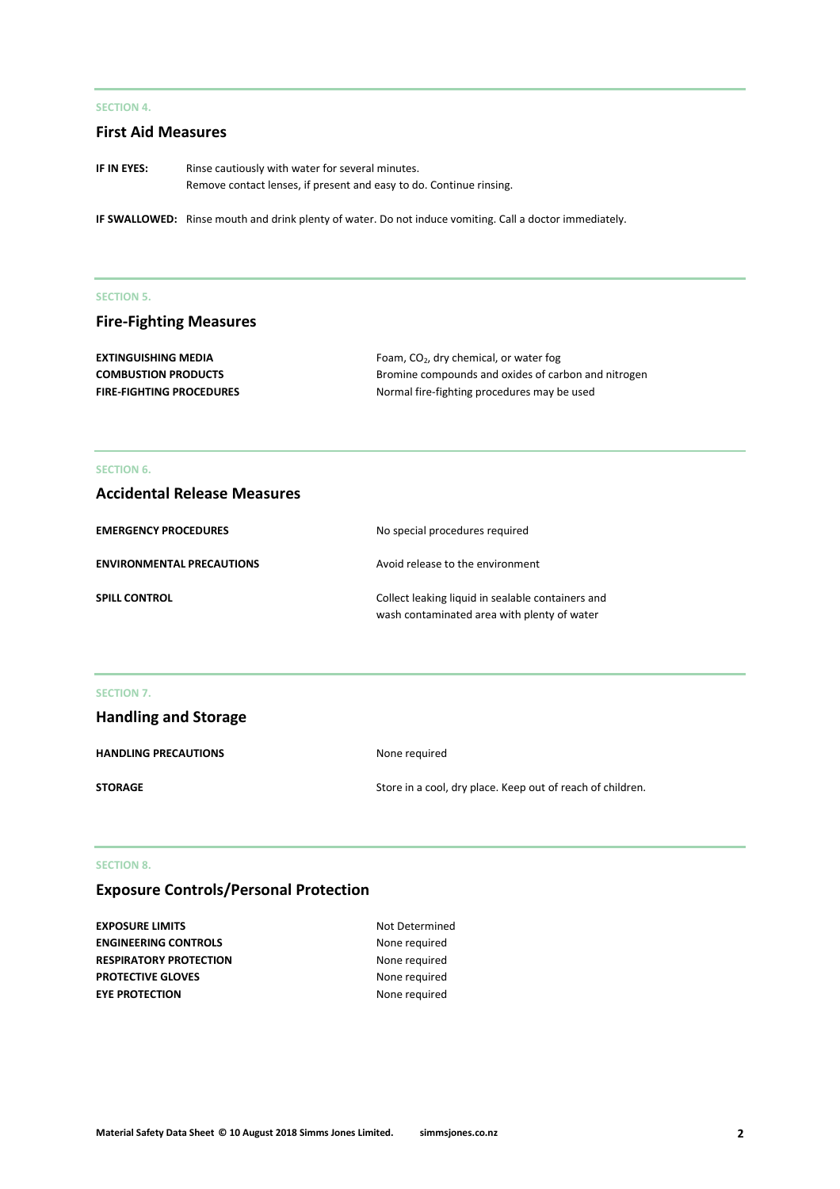# **SECTION 4.**

# **First Aid Measures**

**IF IN EYES:** Rinse cautiously with water for several minutes. Remove contact lenses, if present and easy to do. Continue rinsing.

**IF SWALLOWED:** Rinse mouth and drink plenty of water. Do not induce vomiting. Call a doctor immediately.

#### **SECTION 5.**

# **Fire-Fighting Measures**

| <b>EXTINGUISHING MEDIA</b>      | Foam, $CO2$ , dry chemical, or water fog            |
|---------------------------------|-----------------------------------------------------|
| <b>COMBUSTION PRODUCTS</b>      | Bromine compounds and oxides of carbon and nitrogen |
| <b>FIRE-FIGHTING PROCEDURES</b> | Normal fire-fighting procedures may be used         |

## **SECTION 6.**

# **Accidental Release Measures**

| <b>EMERGENCY PROCEDURES</b>      | No special procedures required                                                                   |
|----------------------------------|--------------------------------------------------------------------------------------------------|
| <b>ENVIRONMENTAL PRECAUTIONS</b> | Avoid release to the environment                                                                 |
| <b>SPILL CONTROL</b>             | Collect leaking liquid in sealable containers and<br>wash contaminated area with plenty of water |

#### **SECTION 7.**

| <b>Handling and Storage</b> |                                                            |
|-----------------------------|------------------------------------------------------------|
| <b>HANDLING PRECAUTIONS</b> | None required                                              |
| <b>STORAGE</b>              | Store in a cool, dry place. Keep out of reach of children. |

### **SECTION 8.**

# **Exposure Controls/Personal Protection**

| <b>EXPOSURE LIMITS</b>        | Not Determined |
|-------------------------------|----------------|
| <b>ENGINEERING CONTROLS</b>   | None required  |
| <b>RESPIRATORY PROTECTION</b> | None required  |
| <b>PROTECTIVE GLOVES</b>      | None required  |
| <b>EYE PROTECTION</b>         | None required  |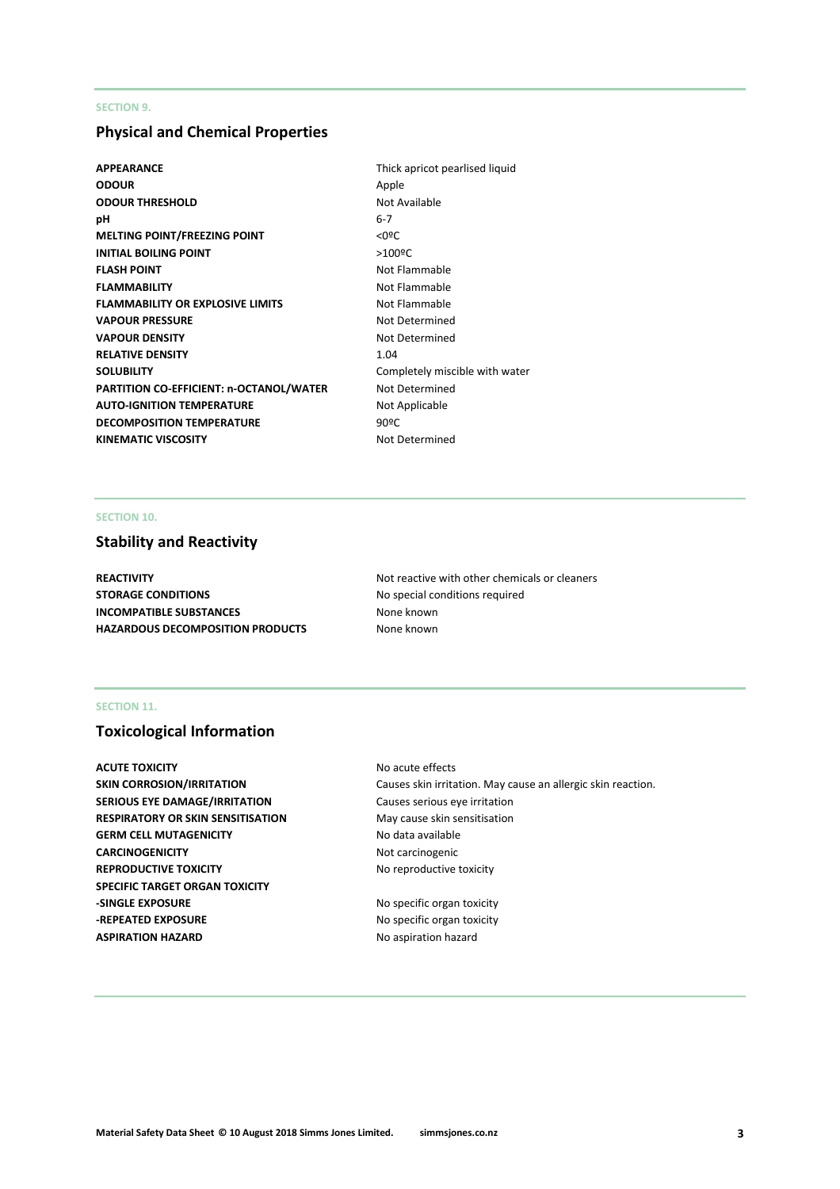# **SECTION 9.**

# **Physical and Chemical Properties**

- **APPEARANCE** Thick apricot pearlised liquid **ODOUR** Apple **ODOUR THRESHOLD** Not Available **pH** 6-7 **MELTING POINT/FREEZING POINT**  $\langle$  0ºC **INITIAL BOILING POINT** >100<sup>o</sup>C **FLASH POINT** Not Flammable **FLAMMABILITY** Not Flammable **FLAMMABILITY OR EXPLOSIVE LIMITS** Not Flammable **VAPOUR PRESSURE** Not Determined **VAPOUR DENSITY** Not Determined **RELATIVE DENSITY** 1.04 **SOLUBILITY** Completely miscible with water **PARTITION CO-EFFICIENT: n-OCTANOL/WATER** Not Determined **AUTO-IGNITION TEMPERATURE** Not Applicable **DECOMPOSITION TEMPERATURE** 90°C KINEMATIC VISCOSITY **Not Determined** 
	-

# **SECTION 10.**

# **Stability and Reactivity**

**STORAGE CONDITIONS** No special conditions required **INCOMPATIBLE SUBSTANCES** None known **HAZARDOUS DECOMPOSITION PRODUCTS** None known

**REACTIVITY Not reactive with other chemicals or cleaners Not reactive with other chemicals or cleaners** 

# **SECTION 11.**

# **Toxicological Information**

**ACUTE TOXICITY** ACUTE **TOXICITY** ACUTE **NO** acute effects **SERIOUS EYE DAMAGE/IRRITATION** Causes serious eye irritation **RESPIRATORY OR SKIN SENSITISATION** May cause skin sensitisation GERM CELL MUTAGENICITY No data available **CARCINOGENICITY** Not carcinogenic **REPRODUCTIVE TOXICITY No reproductive toxicity SPECIFIC TARGET ORGAN TOXICITY -SINGLE EXPOSURE** No specific organ toxicity **-REPEATED EXPOSURE** No specific organ toxicity **ASPIRATION HAZARD No aspiration hazard No aspiration hazard** 

**SKIN CORROSION/IRRITATION** Causes skin irritation. May cause an allergic skin reaction.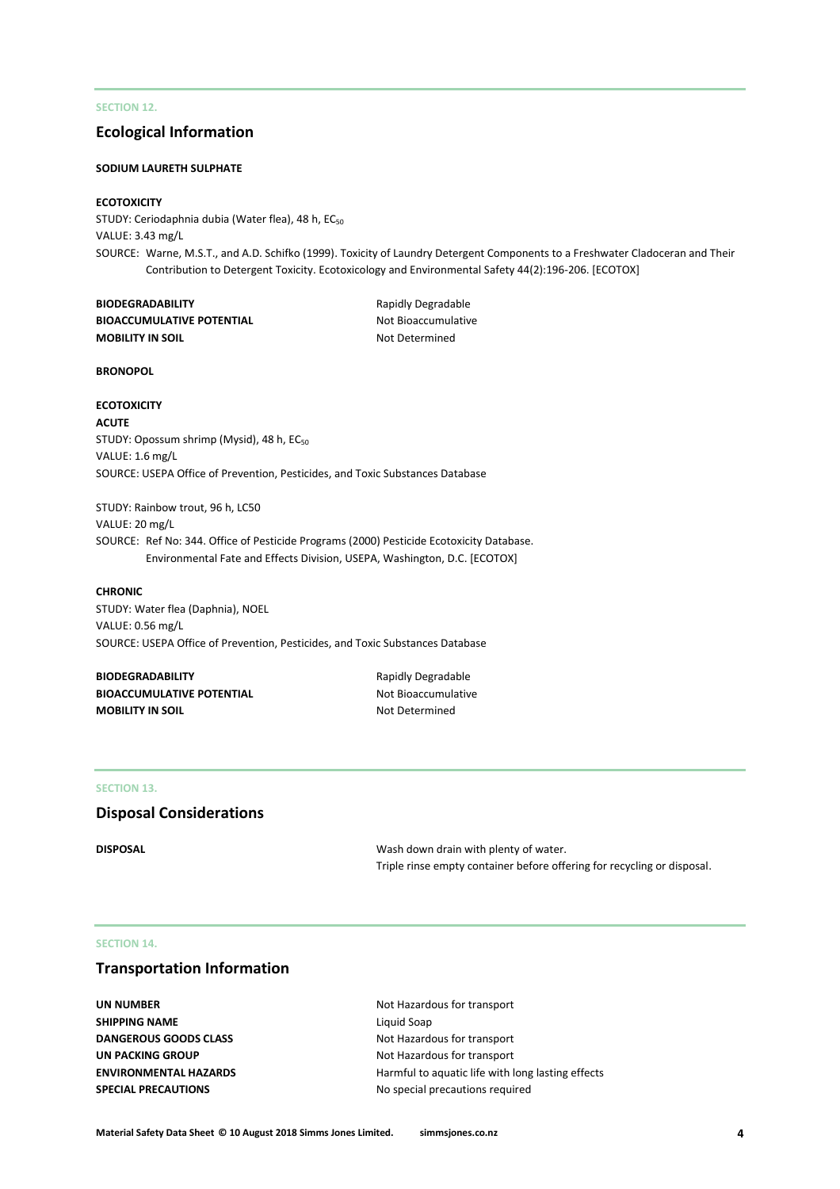# **SECTION 12.**

# **Ecological Information**

#### **SODIUM LAURETH SULPHATE**

### **ECOTOXICITY**

STUDY: Ceriodaphnia dubia (Water flea), 48 h, EC<sub>50</sub> VALUE: 3.43 mg/L SOURCE: Warne, M.S.T., and A.D. Schifko (1999). Toxicity of Laundry Detergent Components to a Freshwater Cladoceran and Their Contribution to Detergent Toxicity. Ecotoxicology and Environmental Safety 44(2):196-206. [ECOTOX]

| <b>BIODEGRADABILITY</b>          |
|----------------------------------|
| <b>BIOACCUMULATIVE POTENTIAL</b> |
| <b>MOBILITY IN SOIL</b>          |

**Rapidly Degradable Not Bioaccumulative Not Determined** 

#### **BRONOPOL**

#### **ECOTOXICITY**

**ACUTE**  STUDY: Opossum shrimp (Mysid), 48 h, EC<sub>50</sub> VALUE: 1.6 mg/L SOURCE: USEPA Office of Prevention, Pesticides, and Toxic Substances Database

STUDY: Rainbow trout, 96 h, LC50 VALUE: 20 mg/L SOURCE: Ref No: 344. Office of Pesticide Programs (2000) Pesticide Ecotoxicity Database. Environmental Fate and Effects Division, USEPA, Washington, D.C. [ECOTOX]

#### **CHRONIC**

STUDY: Water flea (Daphnia), NOEL VALUE: 0.56 mg/L SOURCE: USEPA Office of Prevention, Pesticides, and Toxic Substances Database

**BIODEGRADABILITY** Rapidly Degradable **BIOACCUMULATIVE POTENTIAL** Not Bioaccumulative **MOBILITY IN SOIL** MOBILITY IN SOIL

#### **SECTION 13.**

# **Disposal Considerations**

**DISPOSAL** DISPOSAL DISPOSAL DISPOSAL Triple rinse empty container before offering for recycling or disposal.

### **SECTION 14.**

# **Transportation Information**

**UN NUMBER** Not Hazardous for transport **SHIPPING NAME** Liquid Soap **DANGEROUS GOODS CLASS** Not Hazardous for transport **UN PACKING GROUP** Not Hazardous for transport

**ENVIRONMENTAL HAZARDS Harmful to aquatic life with long lasting effects SPECIAL PRECAUTIONS** No special precautions required